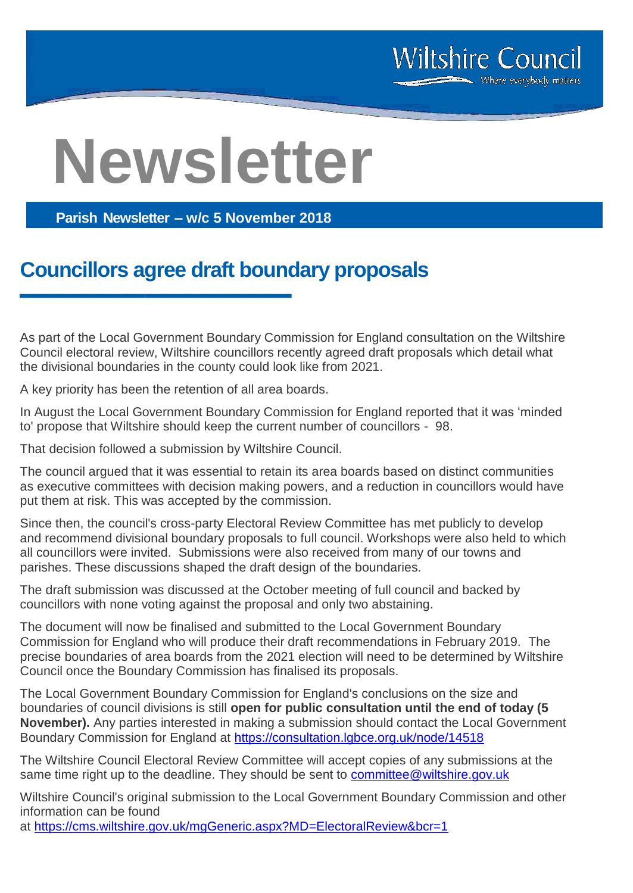

**Newsletter**

**Parish Newsletter – w/c 5 November 2018**

## **Councillors agree draft boundary proposals**

As part of the Local Government Boundary Commission for England consultation on the Wiltshire Council electoral review, Wiltshire councillors recently agreed draft proposals which detail what the divisional boundaries in the county could look like from 2021.

A key priority has been the retention of all area boards.

**▬▬▬▬▬▬▬▬▬▬▬▬▬**

In August the Local Government Boundary Commission for England reported that it was 'minded to' propose that Wiltshire should keep the current number of councillors - 98.

That decision followed a submission by Wiltshire Council.

The council argued that it was essential to retain its area boards based on distinct communities as executive committees with decision making powers, and a reduction in councillors would have put them at risk. This was accepted by the commission.

Since then, the council's cross-party Electoral Review Committee has met publicly to develop and recommend divisional boundary proposals to full council. Workshops were also held to which all councillors were invited. Submissions were also received from many of our towns and parishes. These discussions shaped the draft design of the boundaries.

The draft submission was discussed at the October meeting of full council and backed by councillors with none voting against the proposal and only two abstaining.

The document will now be finalised and submitted to the Local Government Boundary Commission for England who will produce their draft recommendations in February 2019. The precise boundaries of area boards from the 2021 election will need to be determined by Wiltshire Council once the Boundary Commission has finalised its proposals.

The Local Government Boundary Commission for England's conclusions on the size and boundaries of council divisions is still **open for public consultation until the end of today (5 November).** Any parties interested in making a submission should contact the Local Government Boundary Commission for England at <https://consultation.lgbce.org.uk/node/14518>

The Wiltshire Council Electoral Review Committee will accept copies of any submissions at the same time right up to the deadline. They should be sent to **[committee@wiltshire.gov.uk](mailto:committee@wiltshire.gov.uk)** 

Wiltshire Council's original submission to the Local Government Boundary Commission and other information can be found

at <https://cms.wiltshire.gov.uk/mgGeneric.aspx?MD=ElectoralReview&bcr=1>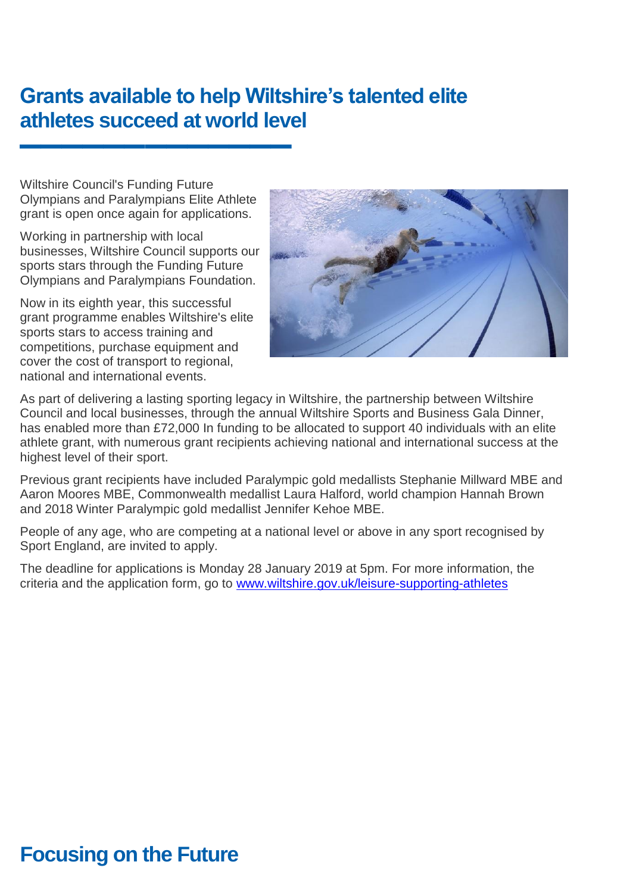# **Grants available to help Wiltshire's talented elite athletes succeed at world level**

Wiltshire Council's Funding Future Olympians and Paralympians Elite Athlete grant is open once again for applications.

**▬▬▬▬▬▬▬▬▬▬▬▬▬**

Working in partnership with local businesses, Wiltshire Council supports our sports stars through the Funding Future Olympians and Paralympians Foundation.

Now in its eighth year, this successful grant programme enables Wiltshire's elite sports stars to access training and competitions, purchase equipment and cover the cost of transport to regional, national and international events.



As part of delivering a lasting sporting legacy in Wiltshire, the partnership between Wiltshire Council and local businesses, through the annual Wiltshire Sports and Business Gala Dinner, has enabled more than £72,000 In funding to be allocated to support 40 individuals with an elite athlete grant, with numerous grant recipients achieving national and international success at the highest level of their sport.

Previous grant recipients have included Paralympic gold medallists Stephanie Millward MBE and Aaron Moores MBE, Commonwealth medallist Laura Halford, world champion Hannah Brown and 2018 Winter Paralympic gold medallist Jennifer Kehoe MBE.

People of any age, who are competing at a national level or above in any sport recognised by Sport England, are invited to apply.

The deadline for applications is Monday 28 January 2019 at 5pm. For more information, the criteria and the application form, go to [www.wiltshire.gov.uk/leisure-supporting-athletes](http://www.wiltshire.gov.uk/leisure-supporting-athletes)

### **Focusing on the Future**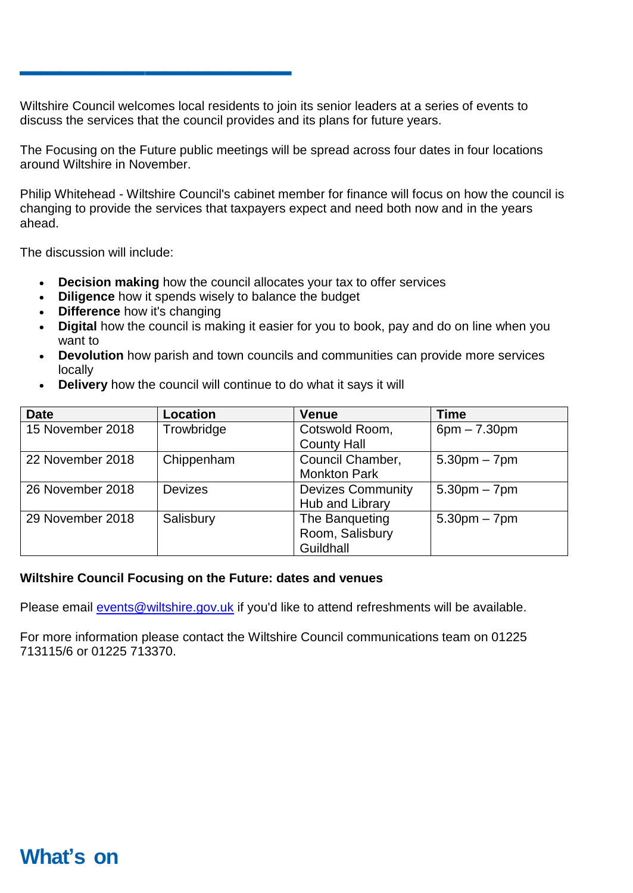Wiltshire Council welcomes local residents to join its senior leaders at a series of events to discuss the services that the council provides and its plans for future years.

The Focusing on the Future public meetings will be spread across four dates in four locations around Wiltshire in November.

Philip Whitehead - Wiltshire Council's cabinet member for finance will focus on how the council is changing to provide the services that taxpayers expect and need both now and in the years ahead.

The discussion will include:

- **Decision making** how the council allocates your tax to offer services
- **Diligence** how it spends wisely to balance the budget
- **Difference** how it's changing

**▬▬▬▬▬▬▬▬▬▬▬▬▬**

- **Digital** how the council is making it easier for you to book, pay and do on line when you want to
- **Devolution** how parish and town councils and communities can provide more services locally
- **Delivery** how the council will continue to do what it says it will

| <b>Date</b>      | <b>Location</b> | <b>Venue</b>             | <b>Time</b>    |
|------------------|-----------------|--------------------------|----------------|
| 15 November 2018 | Trowbridge      | Cotswold Room,           | $6pm - 7.30pm$ |
|                  |                 | <b>County Hall</b>       |                |
| 22 November 2018 | Chippenham      | Council Chamber,         | $5.30pm - 7pm$ |
|                  |                 | <b>Monkton Park</b>      |                |
| 26 November 2018 | <b>Devizes</b>  | <b>Devizes Community</b> | $5.30pm - 7pm$ |
|                  |                 | Hub and Library          |                |
| 29 November 2018 | Salisbury       | The Banqueting           | $5.30pm - 7pm$ |
|                  |                 | Room, Salisbury          |                |
|                  |                 | Guildhall                |                |

#### **Wiltshire Council Focusing on the Future: dates and venues**

Please email [events@wiltshire.gov.uk](mailto:events@wiltshire.gov.uk) if you'd like to attend refreshments will be available.

For more information please contact the Wiltshire Council communications team on 01225 713115/6 or 01225 713370.

### **What's on**